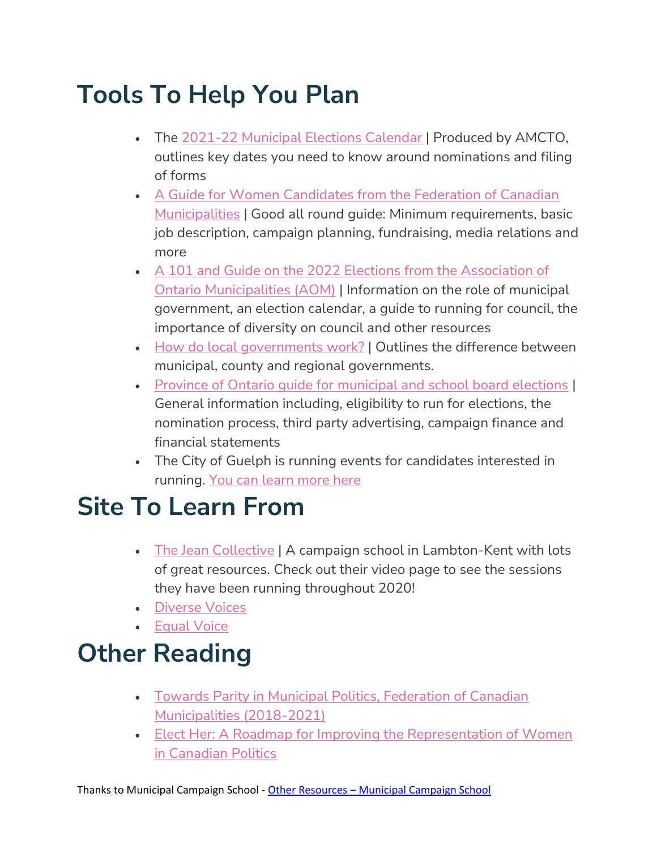## **Tools To Help You Plan**

- The [2021-22 Municipal Elections Calendar](https://www.amcto.com/getmedia/56332090-a0d6-46b1-b875-05fa5742e23e/AMCTO_ElectionsCalendar_V4-Feb22-compressed.aspx) | Produced by AMCTO, outlines key dates you need to know around nominations and filing of forms
- A Guide for Women Candidates from the Federation of Canadian [Municipalities](https://fcm.ca/sites/default/files/documents/resources/guide/municipal-elections-in-canada-a-guide-for-women-candidates-wilf.pdf) | Good all round guide: Minimum requirements, basic job description, campaign planning, fundraising, media relations and more
- [A 101 and Guide on the 2022 Elections from the Association of](https://www.amo.on.ca/about-us/municipal-101/municipal-elections)  [Ontario Municipalities \(AOM\)](https://www.amo.on.ca/about-us/municipal-101/municipal-elections) | Information on the role of municipal government, an election calendar, a guide to running for council, the importance of diversity on council and other resources
- [How do local governments work?](https://www.amo.on.ca/about-us/municipal-101/how-local-government-works) | Outlines the difference between municipal, county and regional governments.
- [Province of Ontario guide for municipal and school board elections](https://www.ontario.ca/document/2018-candidates-guide-ontario-municipal-council-and-school-board-elections/nominations) | General information including, eligibility to run for elections, the nomination process, third party advertising, campaign finance and financial statements
- The City of Guelph is running events for candidates interested in running. You can learn more here

## **Site To Learn From**

- [The Jean Collective](https://thejeancollective.ca/videos) | A campaign school in Lambton-Kent with lots of great resources. Check out their video page to see the sessions they have been running throughout 2020!
- [Diverse Voices](https://diverse-voices.com/)
- [Equal Voice](https://www.equalvoice.ca/)

## **Other Reading**

- [Towards Parity in Municipal Politics, Federation of Canadian](https://fcm.ca/en/programs/women-in-local-government/toward-parity-in-municipal-politics)  [Municipalities \(2018-2021\)](https://fcm.ca/en/programs/women-in-local-government/toward-parity-in-municipal-politics)
- Elect Her: [A Roadmap for Improving the Representation of Women](https://www.ourcommons.ca/Content/Committee/421/FEWO/Reports/RP10366034/feworp14/feworp14-e.pdf)  [in Canadian Politics](https://www.ourcommons.ca/Content/Committee/421/FEWO/Reports/RP10366034/feworp14/feworp14-e.pdf)